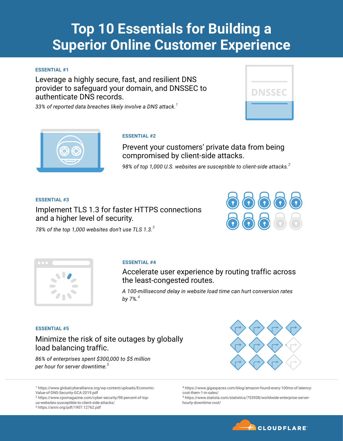# **Top 10 Essentials for Building a Superior Online Customer Experience**

### **ESSENTIAL #1**

Leverage a highly secure, fast, and resilient DNS provider to safeguard your domain, and DNSSEC to authenticate DNS records.

*33% of reported data breaches likely involve a DNS attack.<sup>1</sup>*





#### **ESSENTIAL #2**

Prevent your customers' private data from being compromised by client-side attacks.

*98% of top 1,000 U.S. websites are susceptible to client-side attacks.<sup>2</sup>*

#### **ESSENTIAL #3**

Implement TLS 1.3 for faster HTTPS connections and a higher level of security.



*78% of the top 1,000 websites don't use TLS 1.3.<sup>3</sup>*



#### **ESSENTIAL #4**

Accelerate user experience by routing traffic across the least-congested routes.

*A 100-millisecond delay in website load time can hurt conversion rates by 7%.<sup>4</sup>*

#### **ESSENTIAL #5**

Minimize the risk of site outages by globally load balancing traffic.

*86% of enterprises spent \$300,000 to \$5 million per hour for server downtime.<sup>5</sup>*

<sup>5</sup> https://www.statista.com/statistics/753938/worldwide-enterprise-serverhourly-downtime-cost/



<sup>1</sup> https://www.globalcyberalliance.org/wp-content/uploads/Economic-

Value-of-DNS-Security-GCA-2019.pdf

<sup>2</sup> https://www.cpomagazine.com/cyber-security/98-percent-of-top-

us-websites-susceptible-to-client-side-attacks/

<sup>3</sup> https://arxiv.org/pdf/1907.12762.pdf

<sup>4</sup> https://www.gigaspaces.com/blog/amazon-found-every-100ms-of-latencycost-them-1-in-sales/